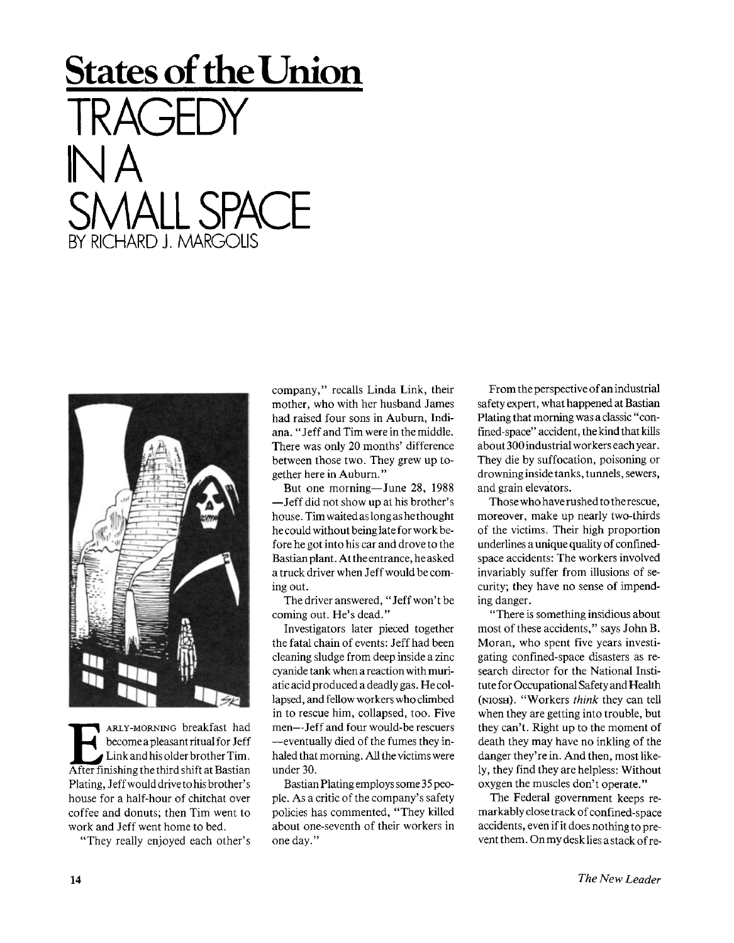## **States of the Union TRAGEDY IN A SMALL SPACE**  RICHARD J. MARG



**EXECUTE ARLY-MORNING** breakfast had<br>become a pleasant ritual for Jeff<br>Link and his older brother Tim.<br>After finishing the third shift at Bastian ARLY-MORNING breakfast had become a pleasant ritual for Jeff Link and his older brother Tim. Plating, Jeff would drive to his brother's house for a half-hour of chitchat over coffee and donuts; then Tim went to work and Jeff went home to bed.

"They really enjoyed each other's

company," recalls Linda Link, their mother, who with her husband James had raised four sons in Auburn, Indiana. "Jeff and Tim were in the middle. There was only 20 months' difference between those two. They grew up together here in Auburn."

But one morning—June 28, 1988 —Jeff did not show up at his brother's house. Tim waited as long as he thought he could without being late for work before he got into his car and drove to the Bastian plant. At the entrance, heasked a truck driver when Jeff would be coming out.

The driver answered, "Jeff won't be coming out. He's dead."

Investigators later pieced together the fatal chain of events: Jeff had been cleaning sludge from deep inside a zinc cyanide tank when a reaction with muriatic acid produced a deadly gas. He collapsed, and fellow workers who climbed in to rescue him, collapsed, too. Five men—Jeff and four would-be rescuers —eventually died of the fumes they inhaled that morning. All the victims were under 30.

Bastian Plating employs some 35 people. As a critic of the company's safety policies has commented, "They killed about one-seventh of their workers in one day."

From the perspective of an industrial safety expert, what happened at Bastian Plating that morning was a classic "confined-space" accident, the kind that kills about 300 industrial workers each year. They die by suffocation, poisoning or drowning inside tanks, tunnels, sewers, and grain elevators.

Those who have rushed to therescue, moreover, make up nearly two-thirds of the victims. Their high proportion underlines a unique quality of confinedspace accidents: The workers involved invariably suffer from illusions of security; they have no sense of impending danger.

"There is something insidious about most of these accidents," says John B. Moran, who spent five years investigating confined-space disasters as research director for the National Institute for Occupational Safety and Health (NIOSH). "Workers *think* they can tell when they are getting into trouble, but they can't. Right up to the moment of death they may have no inkling of the danger they're in. And then, most likely, they find they are helpless: Without oxygen the muscles don't operate."

The Federal government keeps remarkably close track of confined-space accidents, even if it does nothing to prevent them. Onmy desk lies a stack of re-